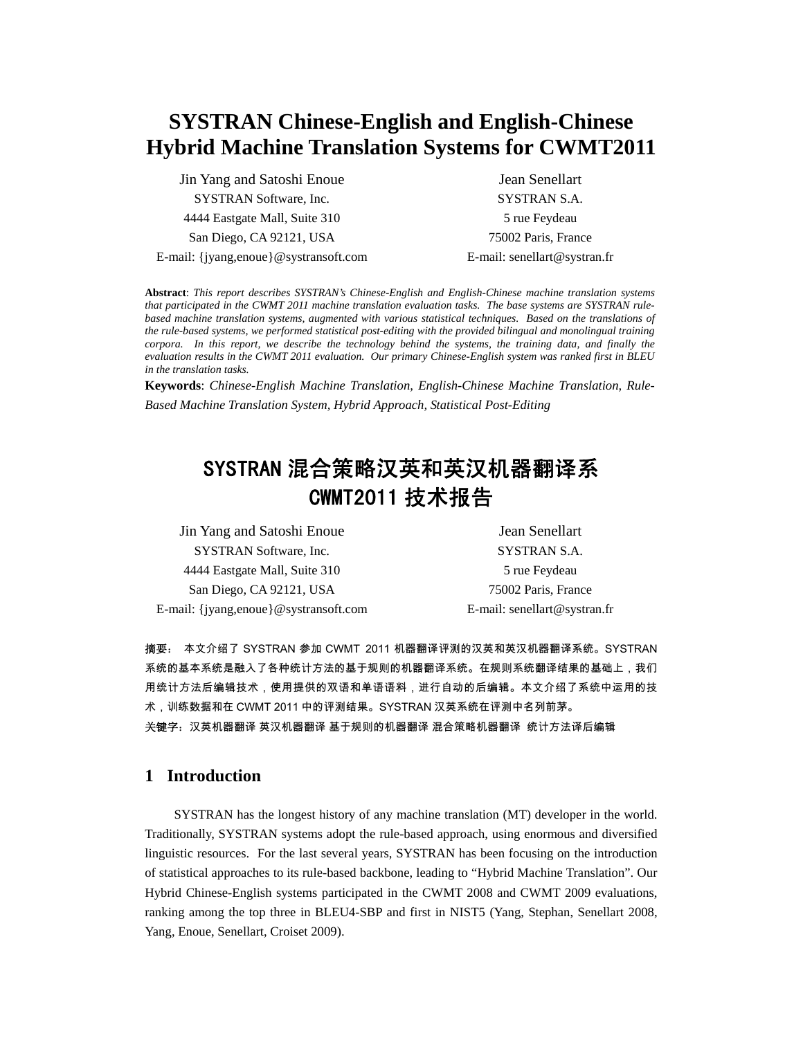# **SYSTRAN Chinese-English and English-Chinese Hybrid Machine Translation Systems for CWMT2011**

Jin Yang and Satoshi Enoue SYSTRAN Software, Inc. 4444 Eastgate Mall, Suite 310 San Diego, CA 92121, USA E-mail: {jyang,enoue}@systransoft.com

Jean Senellart SYSTRAN S.A. 5 rue Feydeau 75002 Paris, France E-mail: senellart@systran.fr

**Abstract**: *This report describes SYSTRAN's Chinese-English and English-Chinese machine translation systems that participated in the CWMT 2011 machine translation evaluation tasks. The base systems are SYSTRAN rulebased machine translation systems, augmented with various statistical techniques. Based on the translations of the rule-based systems, we performed statistical post-editing with the provided bilingual and monolingual training corpora. In this report, we describe the technology behind the systems, the training data, and finally the evaluation results in the CWMT 2011 evaluation. Our primary Chinese-English system was ranked first in BLEU in the translation tasks.* 

**Keywords**: *Chinese-English Machine Translation, English-Chinese Machine Translation, Rule-Based Machine Translation System, Hybrid Approach, Statistical Post-Editing* 

# SYSTRAN 混合策略汉英和英汉机器翻译系 CWMT2011 技术报告

| Jin Yang and Satoshi Enoue            | Jean Senellart               |
|---------------------------------------|------------------------------|
| SYSTRAN Software, Inc.                | SYSTRAN S.A.                 |
| 4444 Eastgate Mall, Suite 310         | 5 rue Feydeau                |
| San Diego, CA 92121, USA              | 75002 Paris, France          |
| E-mail: {jyang,enoue}@systransoft.com | E-mail: senellart@systran.fr |

摘要: 本文介绍了 SYSTRAN 参加 CWMT 2011 机器翻译评测的汉英和英汉机器翻译系统。SYSTRAN 系统的基本系统是融入了各种统计方法的基于规则的机器翻译系统。在规则系统翻译结果的基础上,我们 用统计方法后编辑技术,使用提供的双语和单语语料,进行自动的后编辑。本文介绍了系统中运用的技 术,训练数据和在 CWMT 2011 中的评测结果。SYSTRAN 汉英系统在评测中名列前茅。 关键字:汉英机器翻译 英汉机器翻译 基于规则的机器翻译 混合策略机器翻译 统计方法译后编辑

# **1 Introduction**

SYSTRAN has the longest history of any machine translation (MT) developer in the world. Traditionally, SYSTRAN systems adopt the rule-based approach, using enormous and diversified linguistic resources. For the last several years, SYSTRAN has been focusing on the introduction of statistical approaches to its rule-based backbone, leading to "Hybrid Machine Translation". Our Hybrid Chinese-English systems participated in the CWMT 2008 and CWMT 2009 evaluations, ranking among the top three in BLEU4-SBP and first in NIST5 (Yang, Stephan, Senellart 2008, Yang, Enoue, Senellart, Croiset 2009).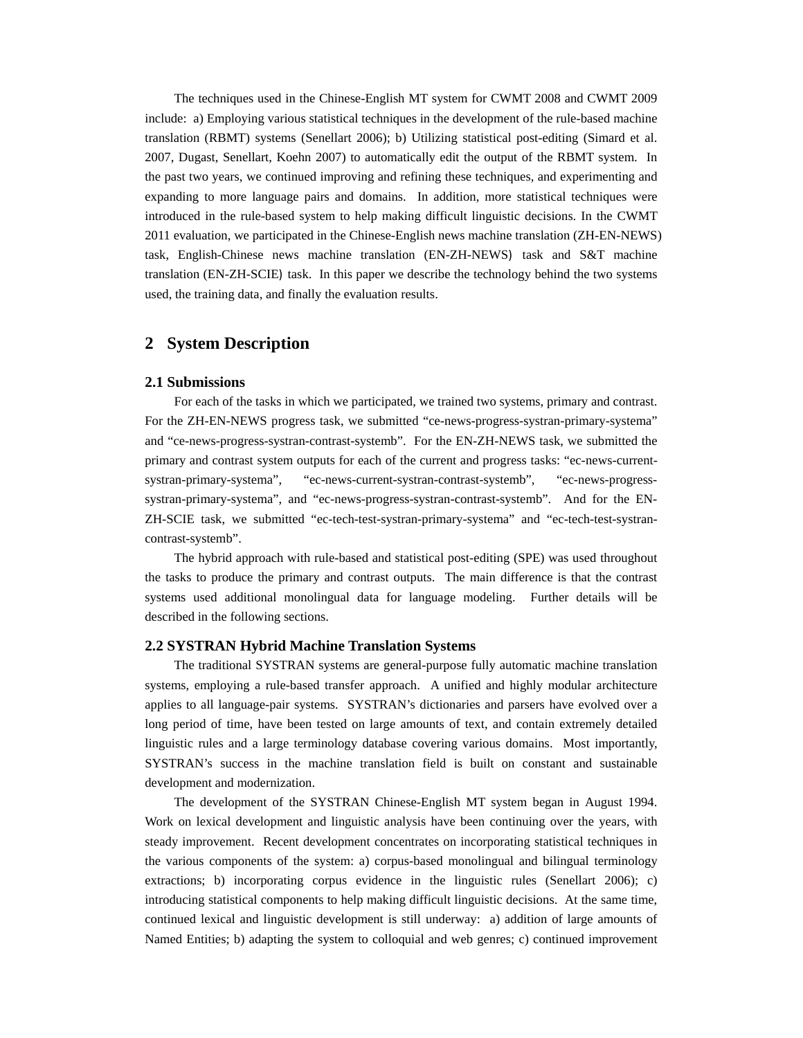The techniques used in the Chinese-English MT system for CWMT 2008 and CWMT 2009 include: a) Employing various statistical techniques in the development of the rule-based machine translation (RBMT) systems (Senellart 2006); b) Utilizing statistical post-editing (Simard et al. 2007, Dugast, Senellart, Koehn 2007) to automatically edit the output of the RBMT system. In the past two years, we continued improving and refining these techniques, and experimenting and expanding to more language pairs and domains. In addition, more statistical techniques were introduced in the rule-based system to help making difficult linguistic decisions. In the CWMT 2011 evaluation, we participated in the Chinese-English news machine translation (ZH-EN-NEWS) task, English-Chinese news machine translation (EN-ZH-NEWS) task and S&T machine translation (EN-ZH-SCIE) task. In this paper we describe the technology behind the two systems used, the training data, and finally the evaluation results.

# **2 System Description**

#### **2.1 Submissions**

For each of the tasks in which we participated, we trained two systems, primary and contrast. For the ZH-EN-NEWS progress task, we submitted "ce-news-progress-systran-primary-systema" and "ce-news-progress-systran-contrast-systemb". For the EN-ZH-NEWS task, we submitted the primary and contrast system outputs for each of the current and progress tasks: "ec-news-currentsystran-primary-systema", "ec-news-current-systran-contrast-systemb", "ec-news-progresssystran-primary-systema", and "ec-news-progress-systran-contrast-systemb". And for the EN-ZH-SCIE task, we submitted "ec-tech-test-systran-primary-systema" and "ec-tech-test-systrancontrast-systemb".

The hybrid approach with rule-based and statistical post-editing (SPE) was used throughout the tasks to produce the primary and contrast outputs. The main difference is that the contrast systems used additional monolingual data for language modeling. Further details will be described in the following sections.

#### **2.2 SYSTRAN Hybrid Machine Translation Systems**

The traditional SYSTRAN systems are general-purpose fully automatic machine translation systems, employing a rule-based transfer approach. A unified and highly modular architecture applies to all language-pair systems. SYSTRAN's dictionaries and parsers have evolved over a long period of time, have been tested on large amounts of text, and contain extremely detailed linguistic rules and a large terminology database covering various domains. Most importantly, SYSTRAN's success in the machine translation field is built on constant and sustainable development and modernization.

The development of the SYSTRAN Chinese-English MT system began in August 1994. Work on lexical development and linguistic analysis have been continuing over the years, with steady improvement. Recent development concentrates on incorporating statistical techniques in the various components of the system: a) corpus-based monolingual and bilingual terminology extractions; b) incorporating corpus evidence in the linguistic rules (Senellart 2006); c) introducing statistical components to help making difficult linguistic decisions. At the same time, continued lexical and linguistic development is still underway: a) addition of large amounts of Named Entities; b) adapting the system to colloquial and web genres; c) continued improvement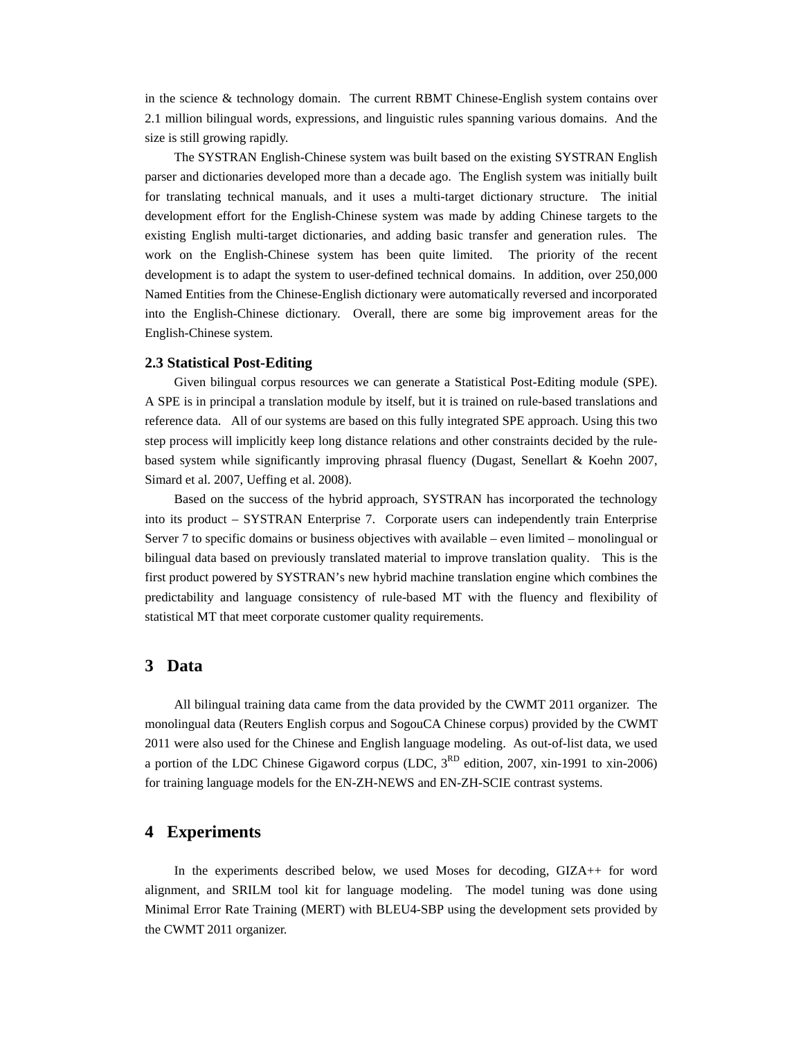in the science & technology domain. The current RBMT Chinese-English system contains over 2.1 million bilingual words, expressions, and linguistic rules spanning various domains. And the size is still growing rapidly.

The SYSTRAN English-Chinese system was built based on the existing SYSTRAN English parser and dictionaries developed more than a decade ago. The English system was initially built for translating technical manuals, and it uses a multi-target dictionary structure. The initial development effort for the English-Chinese system was made by adding Chinese targets to the existing English multi-target dictionaries, and adding basic transfer and generation rules. The work on the English-Chinese system has been quite limited. The priority of the recent development is to adapt the system to user-defined technical domains. In addition, over 250,000 Named Entities from the Chinese-English dictionary were automatically reversed and incorporated into the English-Chinese dictionary. Overall, there are some big improvement areas for the English-Chinese system.

#### **2.3 Statistical Post-Editing**

Given bilingual corpus resources we can generate a Statistical Post-Editing module (SPE). A SPE is in principal a translation module by itself, but it is trained on rule-based translations and reference data. All of our systems are based on this fully integrated SPE approach. Using this two step process will implicitly keep long distance relations and other constraints decided by the rulebased system while significantly improving phrasal fluency (Dugast, Senellart & Koehn 2007, Simard et al. 2007, Ueffing et al. 2008).

Based on the success of the hybrid approach, SYSTRAN has incorporated the technology into its product – SYSTRAN Enterprise 7. Corporate users can independently train Enterprise Server 7 to specific domains or business objectives with available – even limited – monolingual or bilingual data based on previously translated material to improve translation quality. This is the first product powered by SYSTRAN's new hybrid machine translation engine which combines the predictability and language consistency of rule-based MT with the fluency and flexibility of statistical MT that meet corporate customer quality requirements.

## **3 Data**

All bilingual training data came from the data provided by the CWMT 2011 organizer. The monolingual data (Reuters English corpus and SogouCA Chinese corpus) provided by the CWMT 2011 were also used for the Chinese and English language modeling. As out-of-list data, we used a portion of the LDC Chinese Gigaword corpus (LDC,  $3^{RD}$  edition, 2007, xin-1991 to xin-2006) for training language models for the EN-ZH-NEWS and EN-ZH-SCIE contrast systems.

# **4 Experiments**

In the experiments described below, we used Moses for decoding, GIZA++ for word alignment, and SRILM tool kit for language modeling. The model tuning was done using Minimal Error Rate Training (MERT) with BLEU4-SBP using the development sets provided by the CWMT 2011 organizer.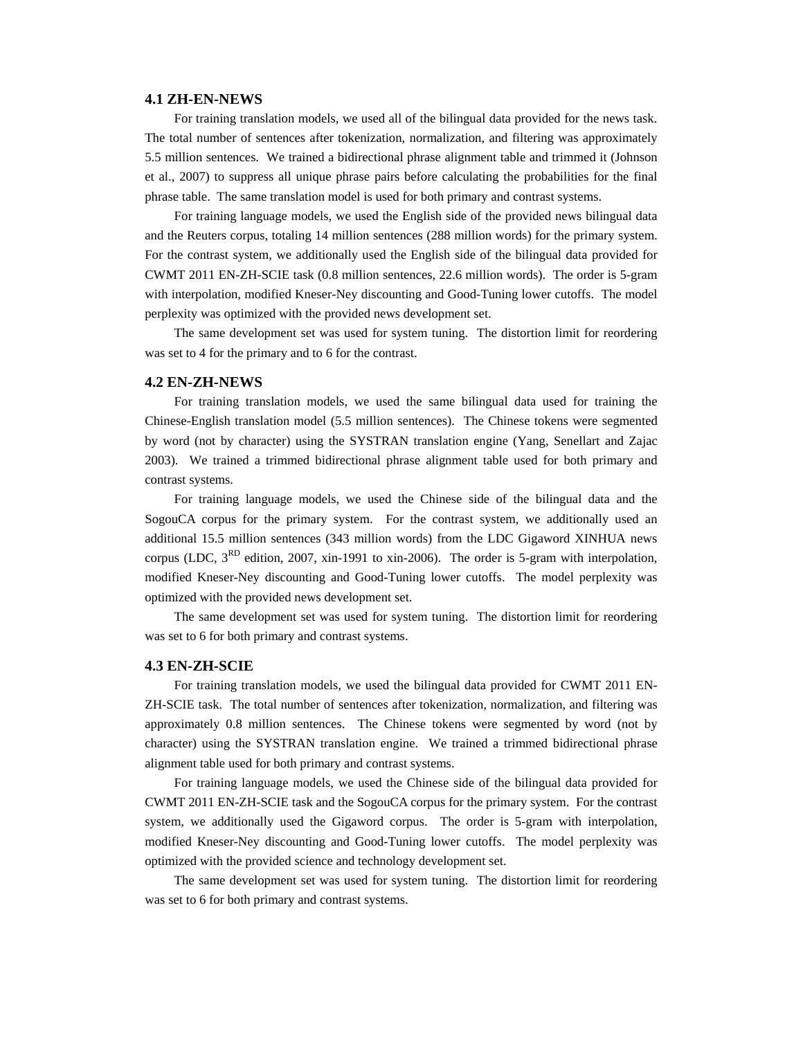#### **4.1 ZH-EN-NEWS**

For training translation models, we used all of the bilingual data provided for the news task. The total number of sentences after tokenization, normalization, and filtering was approximately 5.5 million sentences. We trained a bidirectional phrase alignment table and trimmed it (Johnson et al., 2007) to suppress all unique phrase pairs before calculating the probabilities for the final phrase table. The same translation model is used for both primary and contrast systems.

For training language models, we used the English side of the provided news bilingual data and the Reuters corpus, totaling 14 million sentences (288 million words) for the primary system. For the contrast system, we additionally used the English side of the bilingual data provided for CWMT 2011 EN-ZH-SCIE task (0.8 million sentences, 22.6 million words). The order is 5-gram with interpolation, modified Kneser-Ney discounting and Good-Tuning lower cutoffs. The model perplexity was optimized with the provided news development set.

The same development set was used for system tuning. The distortion limit for reordering was set to 4 for the primary and to 6 for the contrast.

#### **4.2 EN-ZH-NEWS**

For training translation models, we used the same bilingual data used for training the Chinese-English translation model (5.5 million sentences). The Chinese tokens were segmented by word (not by character) using the SYSTRAN translation engine (Yang, Senellart and Zajac 2003). We trained a trimmed bidirectional phrase alignment table used for both primary and contrast systems.

For training language models, we used the Chinese side of the bilingual data and the SogouCA corpus for the primary system. For the contrast system, we additionally used an additional 15.5 million sentences (343 million words) from the LDC Gigaword XINHUA news corpus (LDC,  $3<sup>RD</sup>$  edition, 2007, xin-1991 to xin-2006). The order is 5-gram with interpolation, modified Kneser-Ney discounting and Good-Tuning lower cutoffs. The model perplexity was optimized with the provided news development set.

The same development set was used for system tuning. The distortion limit for reordering was set to 6 for both primary and contrast systems.

#### **4.3 EN-ZH-SCIE**

For training translation models, we used the bilingual data provided for CWMT 2011 EN-ZH-SCIE task. The total number of sentences after tokenization, normalization, and filtering was approximately 0.8 million sentences. The Chinese tokens were segmented by word (not by character) using the SYSTRAN translation engine. We trained a trimmed bidirectional phrase alignment table used for both primary and contrast systems.

For training language models, we used the Chinese side of the bilingual data provided for CWMT 2011 EN-ZH-SCIE task and the SogouCA corpus for the primary system. For the contrast system, we additionally used the Gigaword corpus. The order is 5-gram with interpolation, modified Kneser-Ney discounting and Good-Tuning lower cutoffs. The model perplexity was optimized with the provided science and technology development set.

The same development set was used for system tuning. The distortion limit for reordering was set to 6 for both primary and contrast systems.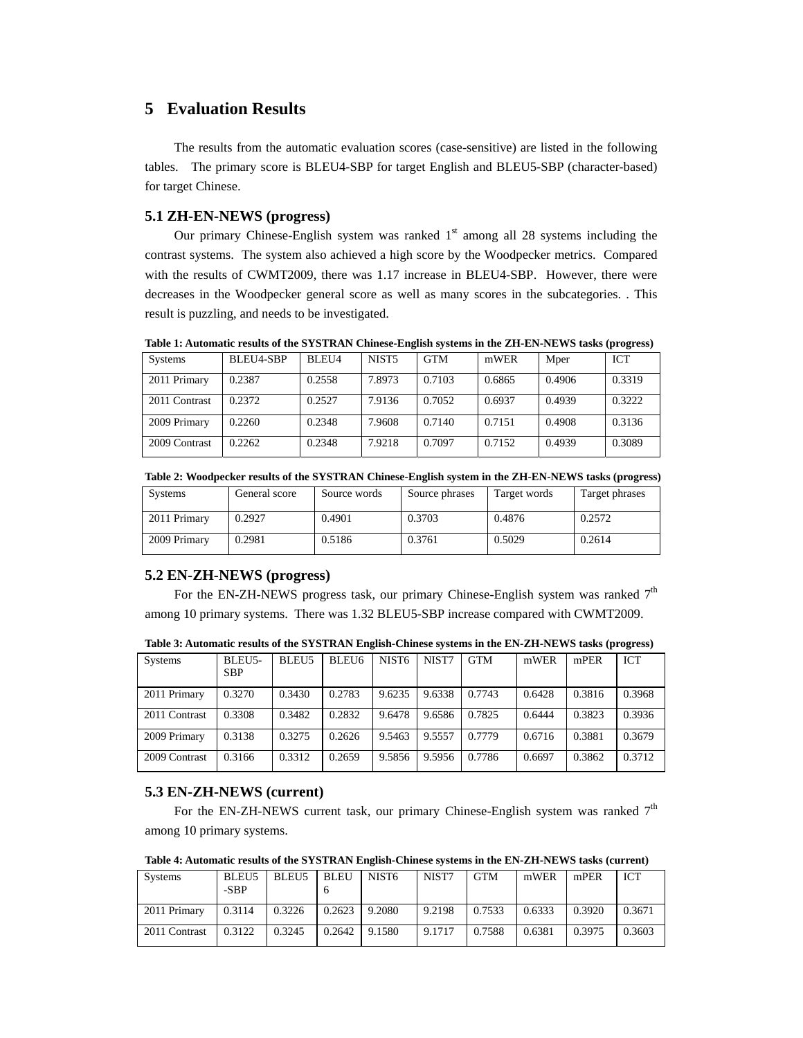# **5 Evaluation Results**

The results from the automatic evaluation scores (case-sensitive) are listed in the following tables. The primary score is BLEU4-SBP for target English and BLEU5-SBP (character-based) for target Chinese.

# **5.1 ZH-EN-NEWS (progress)**

Our primary Chinese-English system was ranked  $1<sup>st</sup>$  among all 28 systems including the contrast systems. The system also achieved a high score by the Woodpecker metrics. Compared with the results of CWMT2009, there was 1.17 increase in BLEU4-SBP. However, there were decreases in the Woodpecker general score as well as many scores in the subcategories. . This result is puzzling, and needs to be investigated.

**Table 1: Automatic results of the SYSTRAN Chinese-English systems in the ZH-EN-NEWS tasks (progress)** 

| <b>Systems</b> | BLEU4-SBP | BLEU4  | NIST <sub>5</sub> | <b>GTM</b> | mWER   | Mper   | <b>ICT</b> |
|----------------|-----------|--------|-------------------|------------|--------|--------|------------|
| 2011 Primary   | 0.2387    | 0.2558 | 7.8973            | 0.7103     | 0.6865 | 0.4906 | 0.3319     |
| 2011 Contrast  | 0.2372    | 0.2527 | 7.9136            | 0.7052     | 0.6937 | 0.4939 | 0.3222     |
| 2009 Primary   | 0.2260    | 0.2348 | 7.9608            | 0.7140     | 0.7151 | 0.4908 | 0.3136     |
| 2009 Contrast  | 0.2262    | 0.2348 | 7.9218            | 0.7097     | 0.7152 | 0.4939 | 0.3089     |

**Table 2: Woodpecker results of the SYSTRAN Chinese-English system in the ZH-EN-NEWS tasks (progress)** 

| <b>Systems</b> | General score | Source words | Source phrases | Target words | Target phrases |
|----------------|---------------|--------------|----------------|--------------|----------------|
| 2011 Primary   | 0.2927        | 0.4901       | 0.3703         | 0.4876       | 0.2572         |
| 2009 Primary   | 0.2981        | 0.5186       | 0.3761         | 0.5029       | 0.2614         |

### **5.2 EN-ZH-NEWS (progress)**

For the EN-ZH-NEWS progress task, our primary Chinese-English system was ranked  $7<sup>th</sup>$ among 10 primary systems. There was 1.32 BLEU5-SBP increase compared with CWMT2009.

| Systems       | <b>BLEU5-</b><br>SBP. | BLEU5  | BLEU6  | NIST6  | NIST7  | <b>GTM</b> | mWER   | mPER   | ICT    |
|---------------|-----------------------|--------|--------|--------|--------|------------|--------|--------|--------|
| 2011 Primary  | 0.3270                | 0.3430 | 0.2783 | 9.6235 | 9.6338 | 0.7743     | 0.6428 | 0.3816 | 0.3968 |
| 2011 Contrast | 0.3308                | 0.3482 | 0.2832 | 9.6478 | 9.6586 | 0.7825     | 0.6444 | 0.3823 | 0.3936 |
| 2009 Primary  | 0.3138                | 0.3275 | 0.2626 | 9.5463 | 9.5557 | 0.7779     | 0.6716 | 0.3881 | 0.3679 |
| 2009 Contrast | 0.3166                | 0.3312 | 0.2659 | 9.5856 | 9.5956 | 0.7786     | 0.6697 | 0.3862 | 0.3712 |

**Table 3: Automatic results of the SYSTRAN English-Chinese systems in the EN-ZH-NEWS tasks (progress)** 

## **5.3 EN-ZH-NEWS (current)**

For the EN-ZH-NEWS current task, our primary Chinese-English system was ranked  $7<sup>th</sup>$ among 10 primary systems.

**Table 4: Automatic results of the SYSTRAN English-Chinese systems in the EN-ZH-NEWS tasks (current)** 

| <b>Systems</b> | BLEU <sub>5</sub><br>-SBP | BLEU5  | <b>BLEU</b> | NIST <sub>6</sub> | NIST7  | <b>GTM</b> | mWER   | mPER   | ICT    |
|----------------|---------------------------|--------|-------------|-------------------|--------|------------|--------|--------|--------|
| 2011 Primary   | 0.3114                    | 0.3226 | 0.2623      | 9.2080            | 9.2198 | 0.7533     | 0.6333 | 0.3920 | 0.3671 |
| 2011 Contrast  | 0.3122                    | 0.3245 | 0.2642      | 9.1580            | 9.1717 | 0.7588     | 0.6381 | 0.3975 | 0.3603 |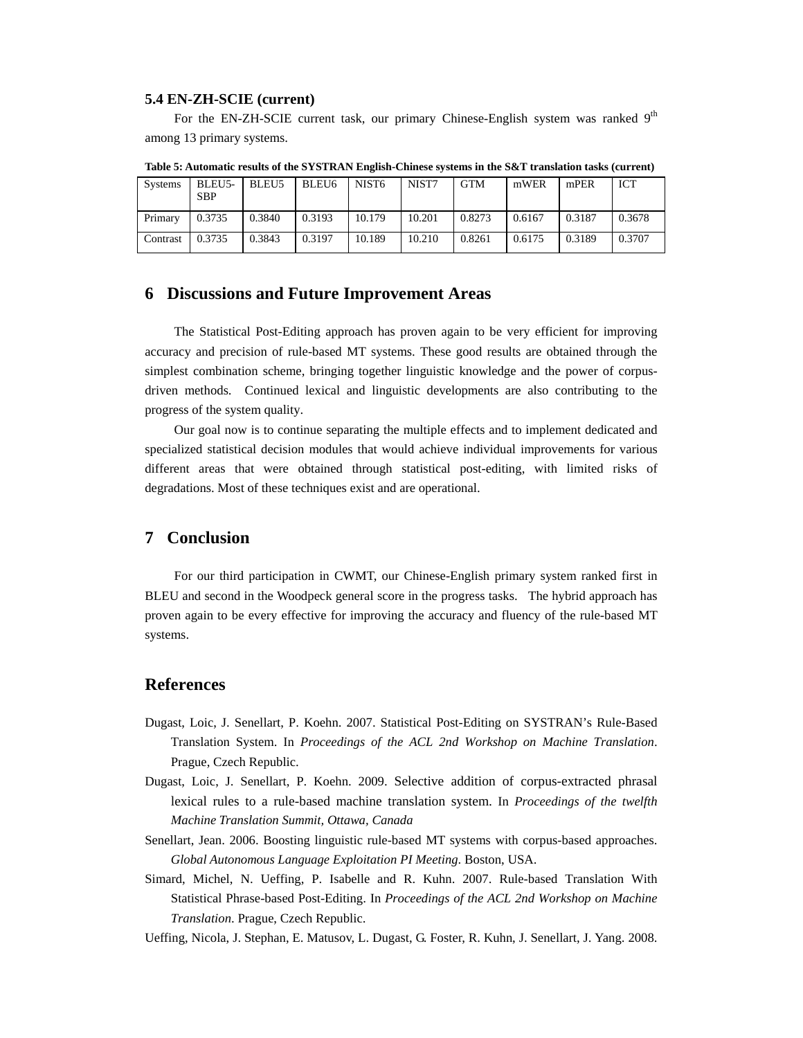#### **5.4 EN-ZH-SCIE (current)**

For the EN-ZH-SCIE current task, our primary Chinese-English system was ranked 9<sup>th</sup> among 13 primary systems.

| <b>Systems</b> | BLEU5-<br><b>SBP</b> | BLEU <sub>5</sub> | BLEU <sub>6</sub> | NIST <sub>6</sub> | NIST7  | <b>GTM</b> | mWER   | mPER   | ICT    |
|----------------|----------------------|-------------------|-------------------|-------------------|--------|------------|--------|--------|--------|
| Primary        | 0.3735               | 0.3840            | 0.3193            | 10.179            | 10.201 | 0.8273     | 0.6167 | 0.3187 | 0.3678 |
| Contrast       | 0.3735               | 0.3843            | 0.3197            | 10.189            | 10.210 | 0.8261     | 0.6175 | 0.3189 | 0.3707 |

**Table 5: Automatic results of the SYSTRAN English-Chinese systems in the S&T translation tasks (current)** 

## **6 Discussions and Future Improvement Areas**

The Statistical Post-Editing approach has proven again to be very efficient for improving accuracy and precision of rule-based MT systems. These good results are obtained through the simplest combination scheme, bringing together linguistic knowledge and the power of corpusdriven methods. Continued lexical and linguistic developments are also contributing to the progress of the system quality.

Our goal now is to continue separating the multiple effects and to implement dedicated and specialized statistical decision modules that would achieve individual improvements for various different areas that were obtained through statistical post-editing, with limited risks of degradations. Most of these techniques exist and are operational.

## **7 Conclusion**

For our third participation in CWMT, our Chinese-English primary system ranked first in BLEU and second in the Woodpeck general score in the progress tasks. The hybrid approach has proven again to be every effective for improving the accuracy and fluency of the rule-based MT systems.

## **References**

- Dugast, Loic, J. Senellart, P. Koehn. 2007. Statistical Post-Editing on SYSTRAN's Rule-Based Translation System. In *Proceedings of the ACL 2nd Workshop on Machine Translation*. Prague, Czech Republic.
- Dugast, Loic, J. Senellart, P. Koehn. 2009. Selective addition of corpus-extracted phrasal lexical rules to a rule-based machine translation system. In *Proceedings of the twelfth Machine Translation Summit, Ottawa, Canada*
- Senellart, Jean. 2006. Boosting linguistic rule-based MT systems with corpus-based approaches. *Global Autonomous Language Exploitation PI Meeting*. Boston, USA.
- Simard, Michel, N. Ueffing, P. Isabelle and R. Kuhn. 2007. Rule-based Translation With Statistical Phrase-based Post-Editing. In *Proceedings of the ACL 2nd Workshop on Machine Translation*. Prague, Czech Republic.
- Ueffing, Nicola, J. Stephan, E. Matusov, L. Dugast, G. Foster, R. Kuhn, J. Senellart, J. Yang. 2008.